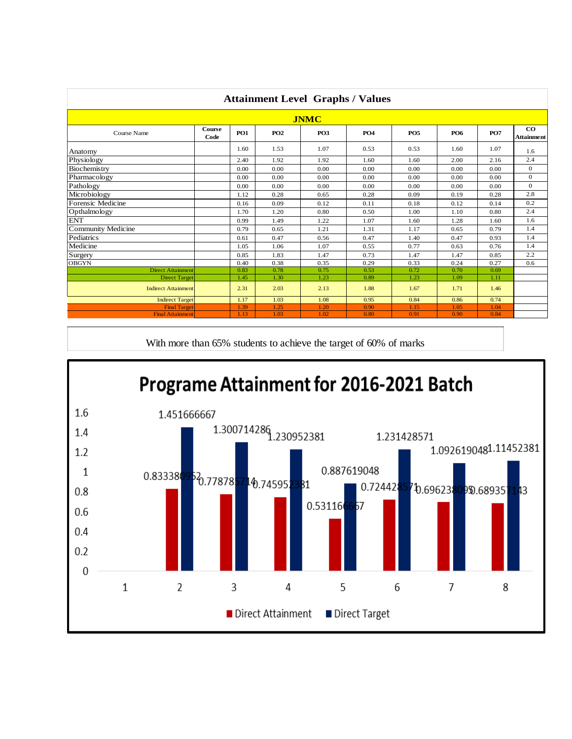|                            |                       |            |            |                 | <b>Attainment Level Graphs / Values</b> |            |            |            |                                |
|----------------------------|-----------------------|------------|------------|-----------------|-----------------------------------------|------------|------------|------------|--------------------------------|
|                            |                       |            |            | <b>JNMC</b>     |                                         |            |            |            |                                |
| Course Name                | <b>Course</b><br>Code | <b>PO1</b> | <b>PO2</b> | PO <sub>3</sub> | <b>PO4</b>                              | <b>PO5</b> | <b>PO6</b> | <b>PO7</b> | $\bf{CO}$<br><b>Attainment</b> |
| Anatomy                    |                       | 1.60       | 1.53       | 1.07            | 0.53                                    | 0.53       | 1.60       | 1.07       | 1.6                            |
| Physiology                 |                       | 2.40       | 1.92       | 1.92            | 1.60                                    | 1.60       | 2.00       | 2.16       | 2.4                            |
| Biochemistry               |                       | 0.00       | 0.00       | 0.00            | 0.00                                    | 0.00       | 0.00       | 0.00       | $\overline{0}$                 |
| Pharmacology               |                       | 0.00       | 0.00       | 0.00            | 0.00                                    | 0.00       | 0.00       | 0.00       | $\overline{0}$                 |
| Pathology                  |                       | 0.00       | 0.00       | 0.00            | 0.00                                    | 0.00       | 0.00       | 0.00       | $\Omega$                       |
| Microbiology               |                       | 1.12       | 0.28       | 0.65            | 0.28                                    | 0.09       | 0.19       | 0.28       | 2.8                            |
| Forensic Medicine          |                       | 0.16       | 0.09       | 0.12            | 0.11                                    | 0.18       | 0.12       | 0.14       | 0.2                            |
| Opthalmology               |                       | 1.70       | 1.20       | 0.80            | 0.50                                    | 1.00       | 1.10       | 0.80       | 2.4                            |
| <b>ENT</b>                 |                       | 0.99       | 1.49       | 1.22            | 1.07                                    | 1.60       | 1.28       | 1.60       | 1.6                            |
| Community Medicine         |                       | 0.79       | 0.65       | 1.21            | 1.31                                    | 1.17       | 0.65       | 0.79       | 1.4                            |
| Pediatrics                 |                       | 0.61       | 0.47       | 0.56            | 0.47                                    | 1.40       | 0.47       | 0.93       | 1.4                            |
| Medicine                   |                       | 1.05       | 1.06       | 1.07            | 0.55                                    | 0.77       | 0.63       | 0.76       | 1.4                            |
| Surgery                    |                       | 0.85       | 1.83       | 1.47            | 0.73                                    | 1.47       | 1.47       | 0.85       | 2.2                            |
| <b>OBGYN</b>               |                       | 0.40       | 0.38       | 0.35            | 0.29                                    | 0.33       | 0.24       | 0.27       | 0.6                            |
| <b>Direct Attainment</b>   |                       | 0.83       | 0.78       | 0.75            | 0.53                                    | 0.72       | 0.70       | 0.69       |                                |
| <b>Direct Target</b>       |                       | 1.45       | 1.30       | 1.23            | 0.89                                    | 1.23       | 1.09       | 1.11       |                                |
| <b>Indirect Attainment</b> |                       | 2.31       | 2.03       | 2.13            | 1.88                                    | 1.67       | 1.71       | 1.46       |                                |
| <b>Indirect Target</b>     |                       | 1.17       | 1.03       | 1.08            | 0.95                                    | 0.84       | 0.86       | 0.74       |                                |
| <b>Final Target</b>        |                       | 1.39       | 1.25       | 1.20            | 0.90                                    | 1.15       | 1.05       | 1.04       |                                |
| <b>Final Attainment</b>    |                       | 1.13       | 1.03       | 1.02            | 0.80                                    | 0.91       | 0.90       | 0.84       |                                |

With more than 65% students to achieve the target of 60% of marks

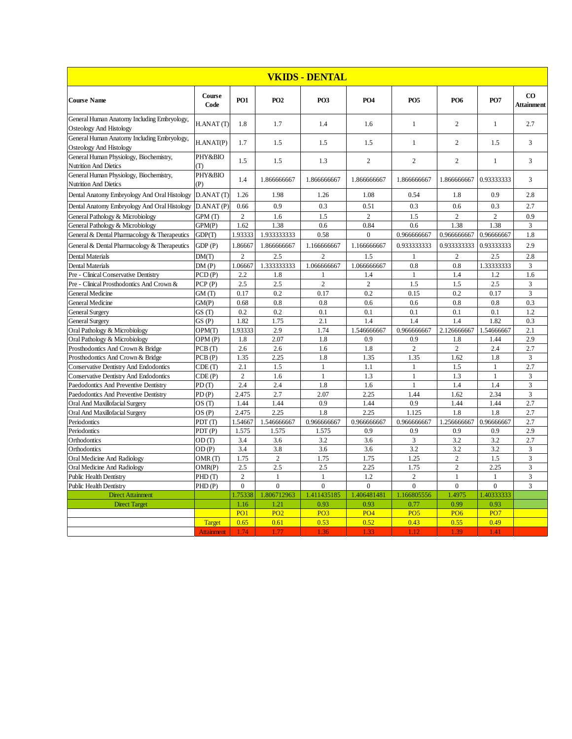|                                                                        |                              |                |                     | VKIDS - DENTAL      |                 |                        |                                |                        |                                |
|------------------------------------------------------------------------|------------------------------|----------------|---------------------|---------------------|-----------------|------------------------|--------------------------------|------------------------|--------------------------------|
| <b>Course Name</b>                                                     | Course<br>Code               | <b>PO1</b>     | <b>PO2</b>          | <b>PO3</b>          | <b>PO4</b>      | <b>PO5</b>             | <b>PO6</b>                     | <b>PO7</b>             | $\rm{CO}$<br><b>Attainment</b> |
| General Human Anatomy Including Embryology,<br>Osteology And Histology | H.ANAT(T)                    | 1.8            | 1.7                 | 1.4                 | 1.6             | $\mathbf{1}$           | $\overline{2}$                 | $\mathbf{1}$           | 2.7                            |
| General Human Anatomy Including Embryology,<br>Osteology And Histology | H.ANAT(P)                    | 1.7            | 1.5                 | 1.5                 | 1.5             | $\mathbf{1}$           | $\overline{2}$                 | 1.5                    | 3                              |
| General Human Physiology, Biochemistry,<br>Nutrition And Dietics       | PHY&BIO<br>T)                | 1.5            | 1.5                 | 1.3                 | 2               | $\mathfrak{2}$         | $\overline{c}$                 | 1                      | 3                              |
| General Human Physiology, Biochemistry,<br>Nutrition And Dietics       | PHY&BIO<br>(P)               | 1.4            | 1.866666667         | 1.866666667         | 1.866666667     | 1.866666667            | 1.866666667                    | 0.93333333             | $\overline{3}$                 |
| Dental Anatomy Embryology And Oral Histology                           | D.ANAT(T)                    | 1.26           | 1.98                | 1.26                | 1.08            | 0.54                   | 1.8                            | 0.9                    | 2.8                            |
| Dental Anatomy Embryology And Oral Histology                           | D.ANAT(P)                    | 0.66           | 0.9                 | 0.3                 | 0.51            | 0.3                    | 0.6                            | 0.3                    | 2.7                            |
| General Pathology & Microbiology                                       | GPM <sub>(T)</sub>           | $\overline{c}$ | 1.6                 | 1.5                 | $\overline{c}$  | 1.5                    | $\overline{2}$                 | $\overline{c}$         | 0.9                            |
| General Pathology & Microbiology                                       | GPM(P)                       | 1.62           | 1.38                | 0.6                 | 0.84            | 0.6                    | 1.38                           | 1.38                   | 3                              |
| General & Dental Pharmacology & Therapeutics                           | GDP(T)                       | 1.93333        | 1.933333333         | 0.58                | $\mathbf{0}$    | 0.966666667            | 0.966666667                    | 0.96666667             | 1.8                            |
| General & Dental Pharmacology & Therapeutics                           | GDP(P)                       | 1.86667        | 1.866666667         | 1.166666667         | 1.166666667     | 0.933333333            | 0.933333333                    | 0.93333333             | 2.9                            |
| <b>Dental Materials</b>                                                | DM(T)                        | $\overline{c}$ | 2.5                 | $\overline{c}$      | 1.5             | $\mathbf{1}$           | $\overline{2}$                 | 2.5                    | 2.8                            |
| <b>Dental Materials</b>                                                | DM(P)                        | 1.06667        | 1.333333333         | 1.066666667         | 1.066666667     | 0.8                    | 0.8                            | 1.33333333             | $\overline{3}$                 |
| Pre - Clinical Conservative Dentistry                                  | PCD(P)                       | 2.2            | 1.8                 | 1                   | 1.4             | $\mathbf{1}$           | 1.4                            | 1.2                    | 1.6                            |
| Pre - Clinical Prosthodontics And Crown &                              | PCP(P)                       | 2.5            | 2.5                 | $\overline{2}$      | $\overline{c}$  | 1.5                    | 1.5                            | 2.5                    | 3                              |
| <b>General Medicine</b>                                                | GM(T)                        | 0.17           | 0.2                 | 0.17                | 0.2             | 0.15                   | 0.2                            | 0.17                   | 3                              |
| <b>General Medicine</b>                                                | GM(P)                        | 0.68           | 0.8                 | 0.8                 | 0.6             | 0.6                    | 0.8                            | 0.8                    | 0.3                            |
| <b>General Surgery</b>                                                 | GS(T)                        | 0.2            | 0.2                 | 0.1                 | 0.1             | 0.1                    | 0.1                            | 0.1                    | 1.2                            |
| <b>General Surgery</b>                                                 | GS(P)                        | 1.82           | 1.75                | 2.1                 | 1.4             | 1.4                    | 1.4                            | 1.82                   | 0.3                            |
| Oral Pathology & Microbiology                                          | OPM(T)                       | 1.93333        | 2.9                 | 1.74                | 1.546666667     | 0.966666667            | 2.126666667                    | 1.54666667             | 2.1                            |
| Oral Pathology & Microbiology                                          | OPM <sub>(P)</sub>           | 1.8            | 2.07                | 1.8                 | 0.9             | 0.9                    | 1.8                            | 1.44                   | 2.9                            |
| Prosthodontics And Crown & Bridge                                      | PCB <sub>(T)</sub>           | 2.6            | 2.6                 | 1.6                 | 1.8             | $\overline{2}$         | $\overline{2}$                 | 2.4                    | 2.7                            |
| Prosthodontics And Crown & Bridge                                      | PCB(P)                       | 1.35           | 2.25                | 1.8                 | 1.35            | 1.35                   | 1.62                           | 1.8                    | 3                              |
| <b>Conservative Dentistry And Endodontics</b>                          | CDE(T)                       | 2.1            | 1.5                 | $\mathbf{1}$        | 1.1             | $\mathbf{1}$           | 1.5                            | $\mathbf{1}$           | 2.7                            |
| <b>Conservative Dentistry And Endodontics</b>                          | CDE(P)                       | $\overline{c}$ | 1.6                 | $\mathbf{1}$        | 1.3             | $\mathbf{1}$           | 1.3                            | $\mathbf{1}$           | 3                              |
| Paedodontics And Preventive Dentistry                                  | PD <sub>(T)</sub>            | 2.4            | 2.4                 | 1.8                 | 1.6             | $\mathbf{1}$           | 1.4                            | 1.4                    | 3                              |
| Paedodontics And Preventive Dentistry                                  | PD(P)                        | 2.475          | 2.7                 | 2.07                | 2.25            | 1.44                   | 1.62                           | 2.34                   | 3                              |
| Oral And Maxillofacial Surgery                                         | OS(T)                        | 1.44           | 1.44                | 0.9                 | 1.44            | 0.9                    | 1.44                           | 1.44                   | 2.7                            |
| Oral And Maxillofacial Surgery                                         | OS(P)                        | 2.475          | 2.25                | 1.8                 | 2.25            | 1.125                  | 1.8                            | 1.8                    | 2.7                            |
| Periodontics                                                           | PDT <sub>(T)</sub>           | 1.54667        | 1.546666667         | 0.966666667         | 0.966666667     | 0.966666667            | 1.256666667                    | 0.96666667             | 2.7                            |
| Periodontics                                                           | PDT(P)                       | 1.575          | 1.575               | 1.575               | 0.9             | 0.9                    | 0.9                            | 0.9                    | 2.9                            |
| Orthodontics                                                           | OD(T)                        | 3.4            | 3.6                 | 3.2                 | 3.6             | 3                      | 3.2                            | 3.2                    | 2.7                            |
| Orthodontics                                                           | OD(P)                        | 3.4            | 3.8                 | 3.6                 | 3.6             | 3.2                    | 3.2                            | 3.2                    | 3                              |
| Oral Medicine And Radiology                                            | OMR <sub>(T)</sub>           | 1.75           | $\overline{c}$      | 1.75                | 1.75            | 1.25                   | $\overline{c}$                 | 1.5                    | 3                              |
| Oral Medicine And Radiology<br><b>Public Health Dentistry</b>          | OMR(P)<br>PHD <sub>(T)</sub> | 2.5<br>2       | 2.5<br>$\mathbf{1}$ | 2.5<br>$\mathbf{1}$ | 2.25<br>1.2     | 1.75<br>$\overline{c}$ | $\overline{2}$<br>$\mathbf{1}$ | 2.25<br>$\overline{1}$ | 3<br>3                         |
| <b>Public Health Dentistry</b>                                         | PHD(P)                       | $\theta$       | $\theta$            | $\theta$            | $\Omega$        | $\theta$               | $\theta$                       | $\theta$               | 3                              |
| <b>Direct Attainment</b>                                               |                              | 1.75338        | 1.806712963         | 1.411435185         | 1.406481481     | 1.166805556            | 1.4975                         | 1.40333333             |                                |
| <b>Direct Target</b>                                                   |                              | 1.16           | 1.21                | 0.93                | 0.93            | 0.77                   | 0.99                           | 0.93                   |                                |
|                                                                        |                              | PO1            | PO <sub>2</sub>     | PO <sub>3</sub>     | PO <sub>4</sub> | PO <sub>5</sub>        | PO <sub>6</sub>                | PO <sub>7</sub>        |                                |
|                                                                        | <b>Target</b>                | 0.65           | 0.61                | 0.53                | 0.52            | 0.43                   | 0.55                           | 0.49                   |                                |
|                                                                        | <b>Attainment</b>            | 1.74           | 1.77                | 1.36                | 1.33            | 1.12                   | 1.39                           | 1.41                   |                                |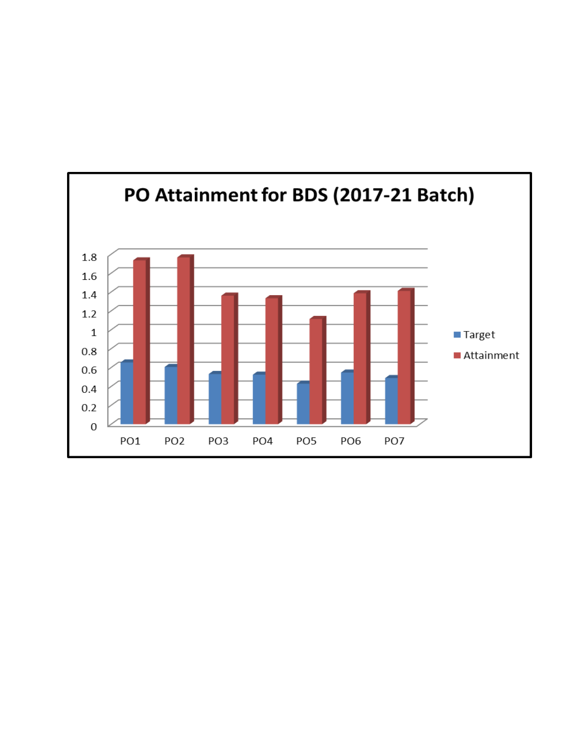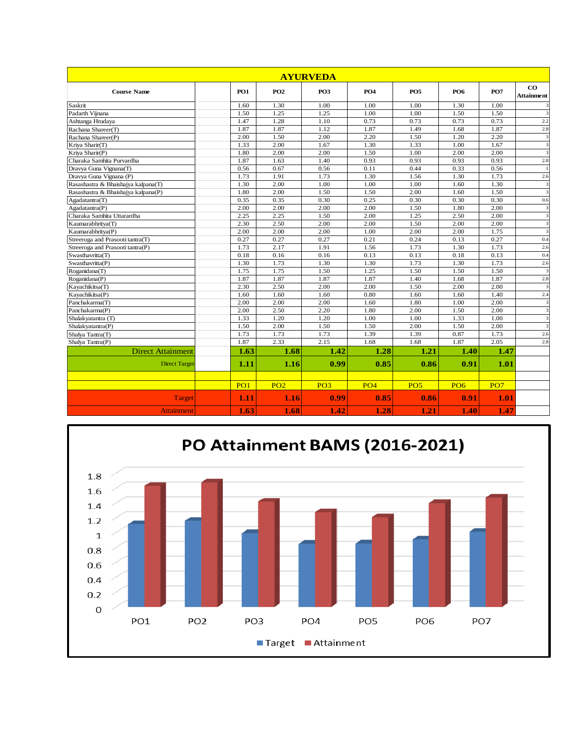|                                     |                 |                 | <b>AYURVEDA</b> |            |                 |                 |                 |                                |
|-------------------------------------|-----------------|-----------------|-----------------|------------|-----------------|-----------------|-----------------|--------------------------------|
| <b>Course Name</b>                  | PO <sub>1</sub> | PO <sub>2</sub> | PO <sub>3</sub> | <b>PO4</b> | PO <sub>5</sub> | PO <sub>6</sub> | <b>PO7</b>      | $\bf{CO}$<br><b>Attainment</b> |
| Saskrit                             | 1.60            | 1.30            | 1.00            | 1.00       | 1.00            | 1.30            | 1.00            |                                |
| Padarth Viinana                     | 1.50            | 1.25            | 1.25            | 1.00       | 1.00            | 1.50            | 1.50            | 3                              |
| Ashtanga Hrudaya                    | 1.47            | 1.28            | 1.10            | 0.73       | 0.73            | 0.73            | 0.73            | 2.2                            |
| Rachana Shareer(T)                  | 1.87            | 1.87            | 1.12            | 1.87       | 1.49            | 1.68            | 1.87            | 2.8                            |
| Rachana Shareer(P)                  | 2.00            | 1.50            | 2.00            | 2.20       | 1.50            | 1.20            | 2.20            | 3                              |
| Kriya Sharir(T)                     | 1.33            | 2.00            | 1.67            | 1.30       | 1.33            | 1.00            | 1.67            | 3                              |
| Kriya Sharir(P)                     | 1.80            | 2.00            | 2.00            | 1.50       | 1.00            | 2.00            | 2.00            | 3                              |
| Charaka Samhita Purvardha           | 1.87            | 1.63            | 1.40            | 0.93       | 0.93            | 0.93            | 0.93            | 2.8                            |
| Dravya Guna Vignana(T)              | 0.56            | 0.67            | 0.56            | 0.11       | 0.44            | 0.33            | 0.56            |                                |
| Dravya Guna Vignana (P)             | 1.73            | 1.91            | 1.73            | 1.30       | 1.56            | 1.30            | 1.73            | 2.6                            |
| Rasashastra & Bhaishajya kalpana(T) | 1.30            | 2.00            | 1.00            | 1.00       | 1.00            | 1.60            | 1.30            | 3                              |
| Rasashastra & Bhaishajya kalpana(P) | 1.80            | 2.00            | 1.50            | 1.50       | 2.00            | 1.60            | 1.50            | $\overline{\mathbf{3}}$        |
| Agadatantra(T)                      | 0.35            | 0.35            | 0.30            | 0.25       | 0.30            | 0.30            | 0.30            | 0.6                            |
| Agadatantra(P)                      | 2.00            | 2.00            | 2.00            | 2.00       | 1.50            | 1.80            | 2.00            | 3                              |
| Charaka Samhita Uttarardha          | 2.25            | 2.25            | 1.50            | 2.00       | 1.25            | 2.50            | 2.00            | 3                              |
| Kaumarabhritya(T)                   | 2.30            | 2.50            | 2.00            | 2.00       | 1.50            | 2.00            | 2.00            | 3                              |
| Kaumarabhritya(P)                   | 2.00            | 2.00            | 2.00            | 1.00       | 2.00            | 2.00            | 1.75            | $\overline{\mathbf{3}}$        |
| Streeroga and Prasooti tantra(T)    | 0.27            | 0.27            | 0.27            | 0.21       | 0.24            | 0.13            | 0.27            | 0.4                            |
| Streeroga and Prasooti tantra(P)    | 1.73            | 2.17            | 1.91            | 1.56       | 1.73            | 1.30            | 1.73            | 2.6                            |
| Swasthavritta(T)                    | 0.18            | 0.16            | 0.16            | 0.13       | 0.13            | 0.18            | 0.13            | 0.4                            |
| Swasthavritta(P)                    | 1.30            | 1.73            | 1.30            | 1.30       | 1.73            | 1.30            | 1.73            | 2.6                            |
| Roganidana(T)                       | 1.75            | 1.75            | 1.50            | 1.25       | 1.50            | 1.50            | 1.50            | 3                              |
| Roganidana(P)                       | 1.87            | 1.87            | 1.87            | 1.87       | 1.40            | 1.68            | 1.87            | 2.8                            |
| Kayachikitsa(T)                     | 2.30            | 2.50            | 2.00            | 2.00       | 1.50            | 2.00            | 2.00            | $\overline{\mathbf{3}}$        |
| Kayachikitsa(P)                     | 1.60            | 1.60            | 1.60            | 0.80       | 1.60            | 1.60            | 1.40            | 2.4                            |
| Panchakarma(T)                      | 2.00            | 2.00            | 2.00            | 1.60       | 1.80            | 1.00            | 2.00            | 3                              |
| Panchakarma(P)                      | 2.00            | 2.50            | 2.20            | 1.80       | 2.00            | 1.50            | 2.00            | $\overline{\mathbf{3}}$        |
| Shalakyatantra (T)                  | 1.33            | 1.20            | 1.20            | 1.00       | 1.00            | 1.33            | 1.00            | $\overline{\mathbf{3}}$        |
| Shalakyatantra(P)                   | 1.50            | 2.00            | 1.50            | 1.50       | 2.00            | 1.50            | 2.00            | $\overline{\mathbf{3}}$        |
| Shalya Tantra(T)                    | 1.73            | 1.73            | 1.73            | 1.39       | 1.39            | 0.87            | 1.73            | 2.6                            |
| Shalya Tantra(P)                    | 1.87            | 2.33            | 2.15            | 1.68       | 1.68            | 1.87            | 2.05            | 2.8                            |
| <b>Direct Attainment</b>            | 1.63            | 1.68            | 1.42            | 1.28       | 1.21            | 1.40            | 1.47            |                                |
| <b>Direct Target</b>                | 1.11            | 1.16            | 0.99            | 0.85       | 0.86            | 0.91            | 1.01            |                                |
|                                     |                 |                 |                 |            |                 |                 |                 |                                |
|                                     | PO1             | PO <sub>2</sub> | PO <sub>3</sub> | PO4        | PO <sub>5</sub> | PO <sub>6</sub> | PO <sub>7</sub> |                                |
| Target                              | 1.11            | 1.16            | 0.99            | 0.85       | 0.86            | 0.91            | 1.01            |                                |
| <b>Attainment</b>                   | 1.63            | 1.68            | 1.42            | 1.28       | 1.21            | 1.40            | 1.47            |                                |

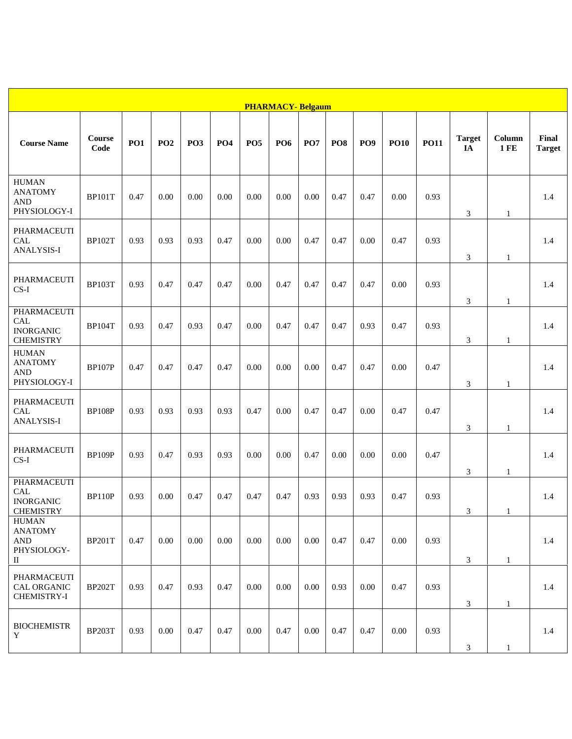|                                                                             |                |            |            |                 |                 |            | <b>PHARMACY-Belgaum</b> |          |                 |                 |             |             |                     |                      |                        |
|-----------------------------------------------------------------------------|----------------|------------|------------|-----------------|-----------------|------------|-------------------------|----------|-----------------|-----------------|-------------|-------------|---------------------|----------------------|------------------------|
| <b>Course Name</b>                                                          | Course<br>Code | <b>PO1</b> | <b>PO2</b> | PO <sub>3</sub> | PO <sub>4</sub> | <b>PO5</b> | PO <sub>6</sub>         | PO7      | PO <sub>8</sub> | PO <sub>9</sub> | <b>PO10</b> | <b>PO11</b> | <b>Target</b><br>IA | Column<br><b>1FE</b> | Final<br><b>Target</b> |
| <b>HUMAN</b><br><b>ANATOMY</b><br><b>AND</b><br>PHYSIOLOGY-I                | <b>BP101T</b>  | 0.47       | 0.00       | 0.00            | 0.00            | 0.00       | 0.00                    | 0.00     | 0.47            | 0.47            | 0.00        | 0.93        | 3                   | 1                    | 1.4                    |
| PHARMACEUTI<br><b>CAL</b><br>ANALYSIS-I                                     | <b>BP102T</b>  | 0.93       | 0.93       | 0.93            | 0.47            | 0.00       | 0.00                    | 0.47     | 0.47            | 0.00            | 0.47        | 0.93        | 3                   | $\mathbf{1}$         | 1.4                    |
| PHARMACEUTI<br>$CS-I$                                                       | <b>BP103T</b>  | 0.93       | 0.47       | 0.47            | 0.47            | 0.00       | 0.47                    | 0.47     | 0.47            | 0.47            | 0.00        | 0.93        | 3                   | 1                    | 1.4                    |
| <b>PHARMACEUTI</b><br>CAL<br><b>INORGANIC</b><br><b>CHEMISTRY</b>           | <b>BP104T</b>  | 0.93       | 0.47       | 0.93            | 0.47            | 0.00       | 0.47                    | 0.47     | 0.47            | 0.93            | 0.47        | 0.93        | 3                   | 1                    | 1.4                    |
| <b>HUMAN</b><br><b>ANATOMY</b><br><b>AND</b><br>PHYSIOLOGY-I                | <b>BP107P</b>  | 0.47       | 0.47       | 0.47            | 0.47            | 0.00       | 0.00                    | 0.00     | 0.47            | 0.47            | 0.00        | 0.47        | 3                   | 1                    | 1.4                    |
| PHARMACEUTI<br>CAL<br>ANALYSIS-I                                            | <b>BP108P</b>  | 0.93       | 0.93       | 0.93            | 0.93            | 0.47       | 0.00                    | 0.47     | 0.47            | 0.00            | 0.47        | 0.47        | 3                   | $\mathbf{1}$         | 1.4                    |
| PHARMACEUTI<br>$CS-I$                                                       | <b>BP109P</b>  | 0.93       | 0.47       | 0.93            | 0.93            | 0.00       | 0.00                    | 0.47     | 0.00            | 0.00            | 0.00        | 0.47        | 3                   | $\mathbf{1}$         | 1.4                    |
| PHARMACEUTI<br>CAL<br><b>INORGANIC</b><br><b>CHEMISTRY</b>                  | <b>BP110P</b>  | 0.93       | 0.00       | 0.47            | 0.47            | 0.47       | 0.47                    | 0.93     | 0.93            | 0.93            | 0.47        | 0.93        | 3                   | $\mathbf{1}$         | 1.4                    |
| <b>HUMAN</b><br><b>ANATOMY</b><br><b>AND</b><br>PHYSIOLOGY-<br>$\mathbf{I}$ | <b>BP201T</b>  | 0.47       | 0.00       | 0.00            | 0.00            | 0.00       | 0.00                    | 0.00     | 0.47            | 0.47            | 0.00        | 0.93        | 3                   | $\mathbf{1}$         | 1.4                    |
| PHARMACEUTI<br>CAL ORGANIC<br>CHEMISTRY-I                                   | <b>BP202T</b>  | 0.93       | 0.47       | 0.93            | 0.47            | 0.00       | 0.00                    | 0.00     | 0.93            | 0.00            | 0.47        | 0.93        | 3                   | $\mathbf{1}$         | 1.4                    |
| <b>BIOCHEMISTR</b><br>Y                                                     | <b>BP203T</b>  | 0.93       | 0.00       | 0.47            | 0.47            | $0.00\,$   | 0.47                    | $0.00\,$ | 0.47            | 0.47            | $0.00\,$    | 0.93        | 3                   |                      | 1.4                    |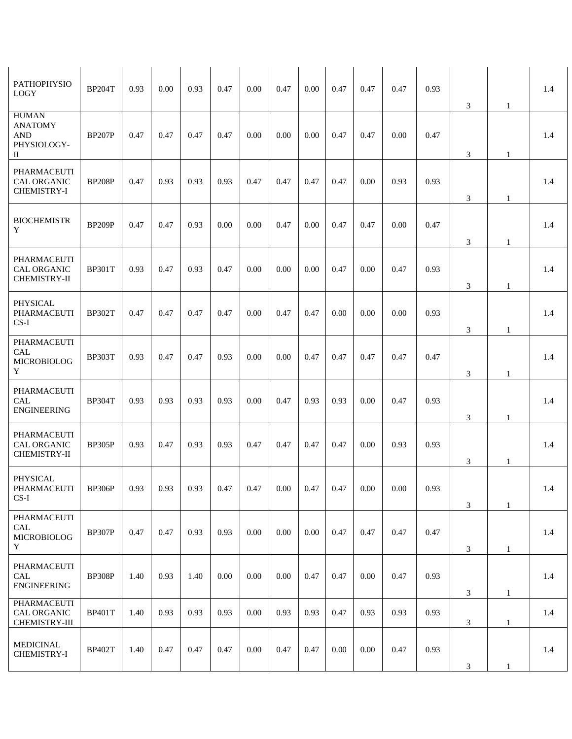| PATHOPHYSIO<br><b>LOGY</b>                                       | <b>BP204T</b> | 0.93 | 0.00 | 0.93 | 0.47 | 0.00 | 0.47 | 0.00 | 0.47 | 0.47 | 0.47     | 0.93 | $\mathfrak{Z}$              | 1            | 1.4 |
|------------------------------------------------------------------|---------------|------|------|------|------|------|------|------|------|------|----------|------|-----------------------------|--------------|-----|
| <b>HUMAN</b><br><b>ANATOMY</b><br><b>AND</b><br>PHYSIOLOGY-<br>П | <b>BP207P</b> | 0.47 | 0.47 | 0.47 | 0.47 | 0.00 | 0.00 | 0.00 | 0.47 | 0.47 | 0.00     | 0.47 | 3                           | 1            | 1.4 |
| <b>PHARMACEUTI</b><br>CAL ORGANIC<br>CHEMISTRY-I                 | <b>BP208P</b> | 0.47 | 0.93 | 0.93 | 0.93 | 0.47 | 0.47 | 0.47 | 0.47 | 0.00 | 0.93     | 0.93 | $\mathfrak{Z}$              | $\mathbf{1}$ | 1.4 |
| <b>BIOCHEMISTR</b><br>Y                                          | <b>BP209P</b> | 0.47 | 0.47 | 0.93 | 0.00 | 0.00 | 0.47 | 0.00 | 0.47 | 0.47 | 0.00     | 0.47 | $\ensuremath{\mathfrak{Z}}$ | 1            | 1.4 |
| <b>PHARMACEUTI</b><br><b>CAL ORGANIC</b><br>CHEMISTRY-II         | <b>BP301T</b> | 0.93 | 0.47 | 0.93 | 0.47 | 0.00 | 0.00 | 0.00 | 0.47 | 0.00 | 0.47     | 0.93 | 3                           | 1            | 1.4 |
| PHYSICAL<br>PHARMACEUTI<br>$CS-I$                                | <b>BP302T</b> | 0.47 | 0.47 | 0.47 | 0.47 | 0.00 | 0.47 | 0.47 | 0.00 | 0.00 | 0.00     | 0.93 | $\ensuremath{\mathfrak{Z}}$ | $\mathbf{1}$ | 1.4 |
| PHARMACEUTI<br>CAL<br><b>MICROBIOLOG</b><br>Y                    | <b>BP303T</b> | 0.93 | 0.47 | 0.47 | 0.93 | 0.00 | 0.00 | 0.47 | 0.47 | 0.47 | 0.47     | 0.47 | 3                           | 1            | 1.4 |
| PHARMACEUTI<br>CAL<br><b>ENGINEERING</b>                         | <b>BP304T</b> | 0.93 | 0.93 | 0.93 | 0.93 | 0.00 | 0.47 | 0.93 | 0.93 | 0.00 | 0.47     | 0.93 | 3                           | $\mathbf{1}$ | 1.4 |
| <b>PHARMACEUTI</b><br><b>CAL ORGANIC</b><br><b>CHEMISTRY-II</b>  | <b>BP305P</b> | 0.93 | 0.47 | 0.93 | 0.93 | 0.47 | 0.47 | 0.47 | 0.47 | 0.00 | 0.93     | 0.93 | 3                           | $\mathbf{1}$ | 1.4 |
| <b>PHYSICAL</b><br>PHARMACEUTI<br>$CS-I$                         | BP306P        | 0.93 | 0.93 | 0.93 | 0.41 | 0.41 | 0.00 | 0.47 | 0.47 | 0.00 | $0.00\,$ | 0.93 | 3                           | $\mathbf{1}$ | 1.4 |
| PHARMACEUTI<br>CAL<br><b>MICROBIOLOG</b><br>Y                    | <b>BP307P</b> | 0.47 | 0.47 | 0.93 | 0.93 | 0.00 | 0.00 | 0.00 | 0.47 | 0.47 | 0.47     | 0.47 | 3                           | 1            | 1.4 |
| PHARMACEUTI<br>CAL<br><b>ENGINEERING</b>                         | <b>BP308P</b> | 1.40 | 0.93 | 1.40 | 0.00 | 0.00 | 0.00 | 0.47 | 0.47 | 0.00 | 0.47     | 0.93 | 3                           | $\mathbf{1}$ | 1.4 |
| PHARMACEUTI<br>CAL ORGANIC<br>CHEMISTRY-III                      | <b>BP401T</b> | 1.40 | 0.93 | 0.93 | 0.93 | 0.00 | 0.93 | 0.93 | 0.47 | 0.93 | 0.93     | 0.93 | $\mathfrak{Z}$              | $\mathbf{1}$ | 1.4 |
| <b>MEDICINAL</b><br>CHEMISTRY-I                                  | <b>BP402T</b> | 1.40 | 0.47 | 0.47 | 0.47 | 0.00 | 0.47 | 0.47 | 0.00 | 0.00 | 0.47     | 0.93 | 3                           | 1            | 1.4 |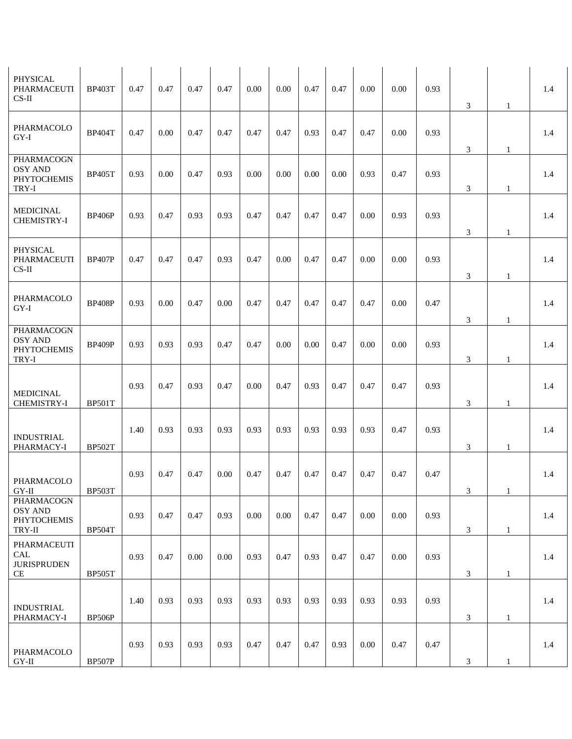| PHYSICAL<br>PHARMACEUTI<br>$CS-II$                          | <b>BP403T</b> | 0.47 | 0.47 | 0.47 | 0.47 | 0.00 | 0.00 | 0.47 | 0.47 | 0.00 | 0.00 | 0.93 | $\mathfrak{Z}$                   | 1                 | 1.4 |
|-------------------------------------------------------------|---------------|------|------|------|------|------|------|------|------|------|------|------|----------------------------------|-------------------|-----|
| PHARMACOLO<br>GY-I                                          | <b>BP404T</b> | 0.47 | 0.00 | 0.47 | 0.47 | 0.47 | 0.47 | 0.93 | 0.47 | 0.47 | 0.00 | 0.93 | 3                                | 1                 | 1.4 |
| PHARMACOGN<br><b>OSY AND</b><br><b>PHYTOCHEMIS</b><br>TRY-I | <b>BP405T</b> | 0.93 | 0.00 | 0.47 | 0.93 | 0.00 | 0.00 | 0.00 | 0.00 | 0.93 | 0.47 | 0.93 | $\ensuremath{\mathfrak{Z}}$      | 1                 | 1.4 |
| <b>MEDICINAL</b><br><b>CHEMISTRY-I</b>                      | <b>BP406P</b> | 0.93 | 0.47 | 0.93 | 0.93 | 0.47 | 0.47 | 0.47 | 0.47 | 0.00 | 0.93 | 0.93 | 3                                | 1                 | 1.4 |
| PHYSICAL<br>PHARMACEUTI<br>$CS-II$                          | <b>BP407P</b> | 0.47 | 0.47 | 0.47 | 0.93 | 0.47 | 0.00 | 0.47 | 0.47 | 0.00 | 0.00 | 0.93 | 3                                | 1                 | 1.4 |
| PHARMACOLO<br>GY-I                                          | <b>BP408P</b> | 0.93 | 0.00 | 0.47 | 0.00 | 0.47 | 0.47 | 0.47 | 0.47 | 0.47 | 0.00 | 0.47 |                                  |                   | 1.4 |
| PHARMACOGN<br><b>OSY AND</b><br><b>PHYTOCHEMIS</b><br>TRY-I | <b>BP409P</b> | 0.93 | 0.93 | 0.93 | 0.47 | 0.47 | 0.00 | 0.00 | 0.47 | 0.00 | 0.00 | 0.93 | $\ensuremath{\mathfrak{Z}}$<br>3 | $\mathbf{1}$<br>1 | 1.4 |
| <b>MEDICINAL</b><br>CHEMISTRY-I                             | <b>BP501T</b> | 0.93 | 0.47 | 0.93 | 0.47 | 0.00 | 0.47 | 0.93 | 0.47 | 0.47 | 0.47 | 0.93 | 3                                | 1                 | 1.4 |
| <b>INDUSTRIAL</b><br>PHARMACY-I                             | <b>BP502T</b> | 1.40 | 0.93 | 0.93 | 0.93 | 0.93 | 0.93 | 0.93 | 0.93 | 0.93 | 0.47 | 0.93 | 3                                | 1                 | 1.4 |
| PHARMACOLO<br>$\rm GY\text{-}II$                            | <b>BP503T</b> | 0.93 | 0.47 | 0.47 | 0.00 | 0.47 | 0.47 | 0.47 | 0.47 | 0.47 | 0.47 | 0.47 | 3                                | 1                 | 1.4 |
| PHARMACOGN<br><b>OSY AND</b><br>PHYTOCHEMIS<br>TRY-II       | <b>BP504T</b> | 0.93 | 0.47 | 0.47 | 0.93 | 0.00 | 0.00 | 0.47 | 0.47 | 0.00 | 0.00 | 0.93 | 3                                | $\mathbf{1}$      | 1.4 |
| PHARMACEUTI<br>CAL<br><b>JURISPRUDEN</b><br>CE              | <b>BP505T</b> | 0.93 | 0.47 | 0.00 | 0.00 | 0.93 | 0.47 | 0.93 | 0.47 | 0.47 | 0.00 | 0.93 | 3                                | $\mathbf{1}$      | 1.4 |
| <b>INDUSTRIAL</b><br>PHARMACY-I                             | <b>BP506P</b> | 1.40 | 0.93 | 0.93 | 0.93 | 0.93 | 0.93 | 0.93 | 0.93 | 0.93 | 0.93 | 0.93 | 3                                | 1                 | 1.4 |
| PHARMACOLO<br>$GY-II$                                       | <b>BP507P</b> | 0.93 | 0.93 | 0.93 | 0.93 | 0.47 | 0.47 | 0.47 | 0.93 | 0.00 | 0.47 | 0.47 | 3                                | $\mathbf{1}$      | 1.4 |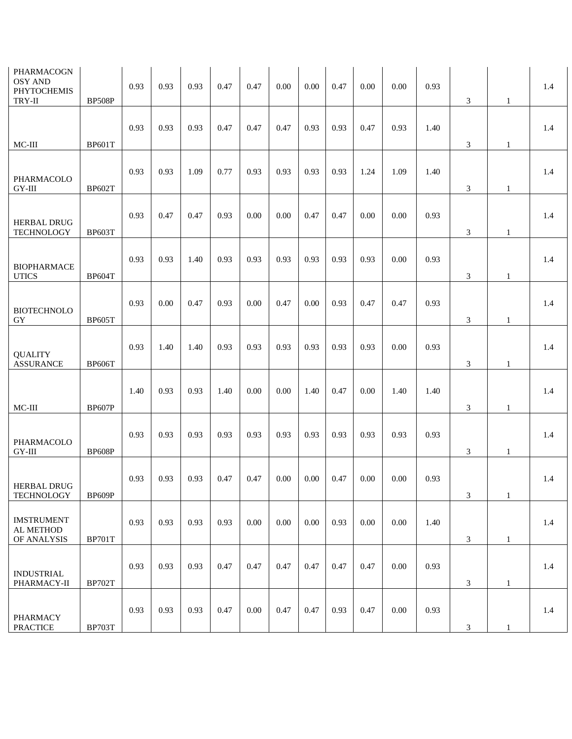| PHARMACOGN<br><b>OSY AND</b><br><b>PHYTOCHEMIS</b><br>TRY-II | <b>BP508P</b> | 0.93 | 0.93 | 0.93 | 0.47 | 0.47     | 0.00 | 0.00 | 0.47 | 0.00 | 0.00     | 0.93 | 3              | 1            | 1.4 |
|--------------------------------------------------------------|---------------|------|------|------|------|----------|------|------|------|------|----------|------|----------------|--------------|-----|
|                                                              |               | 0.93 | 0.93 | 0.93 | 0.47 | 0.47     | 0.47 | 0.93 | 0.93 | 0.47 | 0.93     | 1.40 |                |              | 1.4 |
| MC-III                                                       | <b>BP601T</b> |      |      |      |      |          |      |      |      |      |          |      | 3              | $\mathbf{1}$ |     |
| PHARMACOLO<br>$GY-III$                                       | <b>BP602T</b> | 0.93 | 0.93 | 1.09 | 0.77 | 0.93     | 0.93 | 0.93 | 0.93 | 1.24 | 1.09     | 1.40 | $\mathfrak{Z}$ | $\mathbf{1}$ | 1.4 |
| <b>HERBAL DRUG</b><br><b>TECHNOLOGY</b>                      | <b>BP603T</b> | 0.93 | 0.47 | 0.47 | 0.93 | 0.00     | 0.00 | 0.47 | 0.47 | 0.00 | 0.00     | 0.93 | 3              | 1            | 1.4 |
| <b>BIOPHARMACE</b><br><b>UTICS</b>                           | <b>BP604T</b> | 0.93 | 0.93 | 1.40 | 0.93 | 0.93     | 0.93 | 0.93 | 0.93 | 0.93 | 0.00     | 0.93 | 3              | $\mathbf{1}$ | 1.4 |
| <b>BIOTECHNOLO</b><br>GY                                     | <b>BP605T</b> | 0.93 | 0.00 | 0.47 | 0.93 | 0.00     | 0.47 | 0.00 | 0.93 | 0.47 | 0.47     | 0.93 | 3              | 1            | 1.4 |
| <b>QUALITY</b><br><b>ASSURANCE</b>                           | <b>BP606T</b> | 0.93 | 1.40 | 1.40 | 0.93 | 0.93     | 0.93 | 0.93 | 0.93 | 0.93 | 0.00     | 0.93 | 3              | 1            | 1.4 |
| MC-III                                                       | <b>BP607P</b> | 1.40 | 0.93 | 0.93 | 1.40 | 0.00     | 0.00 | 1.40 | 0.47 | 0.00 | 1.40     | 1.40 | 3              | $\mathbf{1}$ | 1.4 |
| PHARMACOLO<br>GY-III                                         | <b>BP608P</b> | 0.93 | 0.93 | 0.93 | 0.93 | 0.93     | 0.93 | 0.93 | 0.93 | 0.93 | 0.93     | 0.93 | $\mathfrak{Z}$ | $\mathbf{1}$ | 1.4 |
| <b>HERBAL DRUG</b><br><b>TECHNOLOGY</b>                      | BP609P        | 0.93 | 0.93 | 0.93 | 0.47 | 0.47     | 0.00 | 0.00 | 0.47 | 0.00 | $0.00\,$ | 0.93 | $\mathfrak{Z}$ | $\mathbf{1}$ | 1.4 |
| <b>IMSTRUMENT</b><br>AL METHOD<br>OF ANALYSIS                | <b>BP701T</b> | 0.93 | 0.93 | 0.93 | 0.93 | 0.00     | 0.00 | 0.00 | 0.93 | 0.00 | 0.00     | 1.40 | 3              | $\mathbf{1}$ | 1.4 |
| <b>INDUSTRIAL</b><br>PHARMACY-II                             | <b>BP702T</b> | 0.93 | 0.93 | 0.93 | 0.47 | 0.47     | 0.47 | 0.47 | 0.47 | 0.47 | 0.00     | 0.93 | 3              | $\mathbf{1}$ | 1.4 |
| <b>PHARMACY</b><br><b>PRACTICE</b>                           | <b>BP703T</b> | 0.93 | 0.93 | 0.93 | 0.47 | $0.00\,$ | 0.47 | 0.47 | 0.93 | 0.47 | 0.00     | 0.93 | 3              | $\mathbf{1}$ | 1.4 |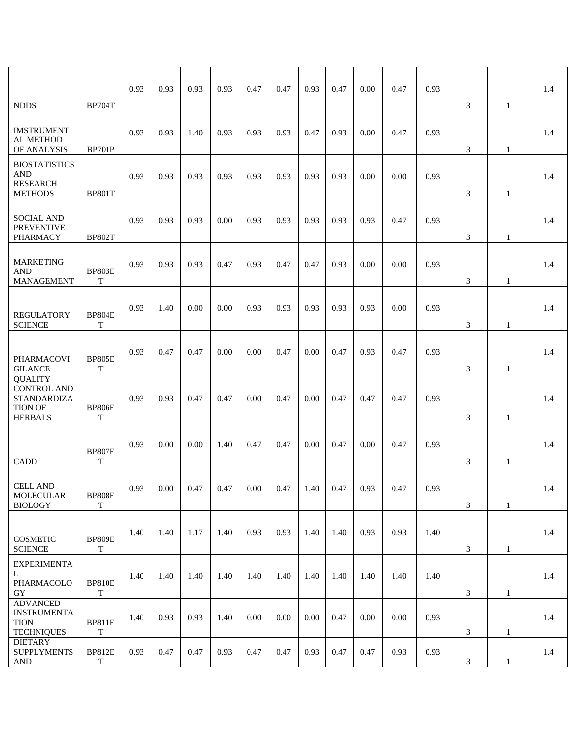|                                                                                                |                              | 0.93 | 0.93           | 0.93 | 0.93 | 0.47           | 0.47 | 0.93     | 0.47 | 0.00 | 0.47     | 0.93 |                |              | 1.4 |
|------------------------------------------------------------------------------------------------|------------------------------|------|----------------|------|------|----------------|------|----------|------|------|----------|------|----------------|--------------|-----|
| <b>NDDS</b>                                                                                    | <b>BP704T</b>                |      |                |      |      |                |      |          |      |      |          |      | 3              | 1            |     |
| <b>IMSTRUMENT</b><br>AL METHOD<br>OF ANALYSIS                                                  | <b>BP701P</b>                | 0.93 | 0.93           | 1.40 | 0.93 | 0.93           | 0.93 | 0.47     | 0.93 | 0.00 | 0.47     | 0.93 | 3              | 1            | 1.4 |
| <b>BIOSTATISTICS</b><br>$\mathbf{AND}$<br><b>RESEARCH</b><br><b>METHODS</b>                    | <b>BP801T</b>                | 0.93 | 0.93           | 0.93 | 0.93 | 0.93           | 0.93 | 0.93     | 0.93 | 0.00 | 0.00     | 0.93 | 3              | 1            | 1.4 |
| <b>SOCIAL AND</b><br><b>PREVENTIVE</b><br><b>PHARMACY</b>                                      | <b>BP802T</b>                | 0.93 | 0.93           | 0.93 | 0.00 | 0.93           | 0.93 | 0.93     | 0.93 | 0.93 | 0.47     | 0.93 | 3              | 1            | 1.4 |
| <b>MARKETING</b><br><b>AND</b><br>MANAGEMENT                                                   | <b>BP803E</b><br>T           | 0.93 | 0.93           | 0.93 | 0.47 | 0.93           | 0.47 | 0.47     | 0.93 | 0.00 | 0.00     | 0.93 | 3              | 1            | 1.4 |
| <b>REGULATORY</b><br><b>SCIENCE</b>                                                            | <b>BP804E</b><br>T           | 0.93 | 1.40           | 0.00 | 0.00 | 0.93           | 0.93 | 0.93     | 0.93 | 0.93 | 0.00     | 0.93 | 3              | 1            | 1.4 |
| PHARMACOVI<br><b>GILANCE</b>                                                                   | <b>BP805E</b><br>T           | 0.93 | 0.47           | 0.47 | 0.00 | 0.00           | 0.47 | 0.00     | 0.47 | 0.93 | 0.47     | 0.93 | 3              | $\mathbf{1}$ | 1.4 |
| <b>QUALITY</b><br><b>CONTROL AND</b><br><b>STANDARDIZA</b><br><b>TION OF</b><br><b>HERBALS</b> | <b>BP806E</b><br>T           | 0.93 | 0.93           | 0.47 | 0.47 | 0.00           | 0.47 | 0.00     | 0.47 | 0.47 | 0.47     | 0.93 | 3              | 1            | 1.4 |
| CADD                                                                                           | <b>BP807E</b><br>T           | 0.93 | 0.00           | 0.00 | 1.40 | 0.47           | 0.47 | 0.00     | 0.47 | 0.00 | 0.47     | 0.93 | 3              | $\mathbf{1}$ | 1.4 |
| <b>CELL AND</b><br><b>MOLECULAR</b><br><b>BIOLOGY</b>                                          | <b>BP808E</b><br>$\mathbf T$ | 0.93 | $0.00^{\circ}$ | 0.47 | 0.47 | $0.00^{\circ}$ | 0.47 | 1.40     | 0.47 | 0.93 | 0.47     | 0.93 | $\mathfrak{Z}$ | $\mathbf{1}$ | 1.4 |
| <b>COSMETIC</b><br><b>SCIENCE</b>                                                              | <b>BP809E</b><br>$\mathbf T$ | 1.40 | 1.40           | 1.17 | 1.40 | 0.93           | 0.93 | 1.40     | 1.40 | 0.93 | 0.93     | 1.40 | $\mathfrak{Z}$ | $\mathbf{1}$ | 1.4 |
| <b>EXPERIMENTA</b><br>L<br>PHARMACOLO<br>GY                                                    | <b>BP810E</b><br>T           | 1.40 | 1.40           | 1.40 | 1.40 | 1.40           | 1.40 | 1.40     | 1.40 | 1.40 | 1.40     | 1.40 | 3              | $\mathbf{1}$ | 1.4 |
| <b>ADVANCED</b><br><b>INSTRUMENTA</b><br><b>TION</b><br><b>TECHNIQUES</b>                      | <b>BP811E</b><br>T           | 1.40 | 0.93           | 0.93 | 1.40 | 0.00           | 0.00 | $0.00\,$ | 0.47 | 0.00 | $0.00\,$ | 0.93 | $\mathfrak{Z}$ | $\mathbf{1}$ | 1.4 |
| <b>DIETARY</b><br><b>SUPPLYMENTS</b><br>$\mathbf{AND}$                                         | <b>BP812E</b><br>T           | 0.93 | 0.47           | 0.47 | 0.93 | 0.47           | 0.47 | 0.93     | 0.47 | 0.47 | 0.93     | 0.93 | 3              | 1            | 1.4 |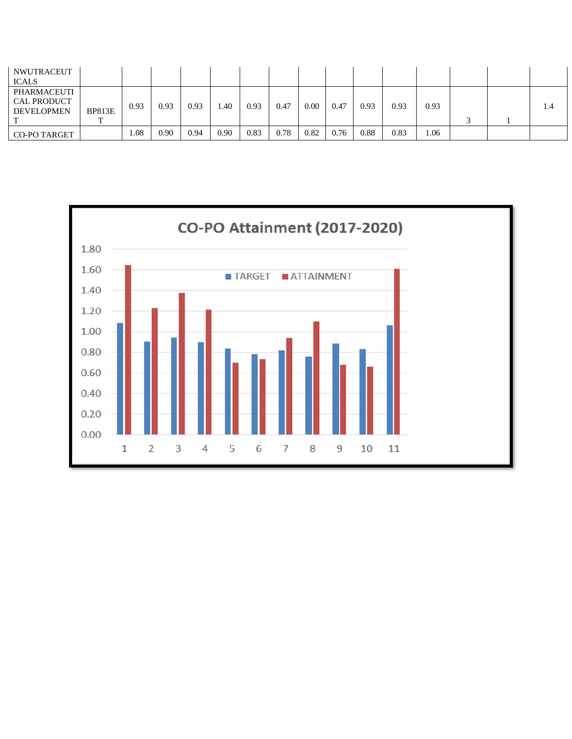| <b>NWUTRACEUT</b><br><b>ICALS</b>                      |               |      |      |      |      |      |      |      |      |      |      |      |  |     |
|--------------------------------------------------------|---------------|------|------|------|------|------|------|------|------|------|------|------|--|-----|
| PHARMACEUTI<br><b>CAL PRODUCT</b><br><b>DEVELOPMEN</b> | <b>BP813E</b> | 0.93 | 0.93 | 0.93 | 1.40 | 0.93 | 0.47 | 0.00 | 0.47 | 0.93 | 0.93 | 0.93 |  | 1.4 |
| <b>CO-PO TARGET</b>                                    |               | 0.08 | 0.90 | 0.94 | 0.90 | 0.83 | 0.78 | 0.82 | 0.76 | 0.88 | 0.83 | 1.06 |  |     |

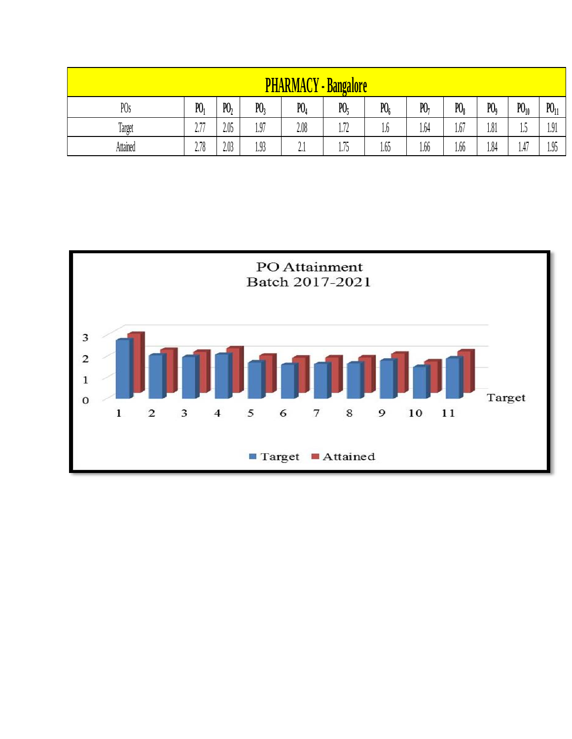|                 |                |         | Ή              | <b>ARMACY</b>       | <b>-Bangalore</b> |         |                |              |       |          |          |
|-----------------|----------------|---------|----------------|---------------------|-------------------|---------|----------------|--------------|-------|----------|----------|
| PO <sub>s</sub> | P <sub>0</sub> | $P_{1}$ | P <sub>0</sub> | $P_4$               | P0 <sub>5</sub>   | $P_{0}$ | P <sub>1</sub> | $P_{\theta}$ | $P_0$ | $P_{10}$ | $P_{11}$ |
| Target          | חה מ<br>4.1    | 2.05    | 1.97           | 2.08                | 1.72              | 1.6     | 1.64           | 1.67         | 1.81  | ι.J      | 1.91     |
| Attained        | 2.78           | 2.03    | 1.93           | Λ.<br>$L_{\bullet}$ | 1.75              | 1.65    | 1.66           | 1.66         | 1.84  | 1.47     | 1.95     |

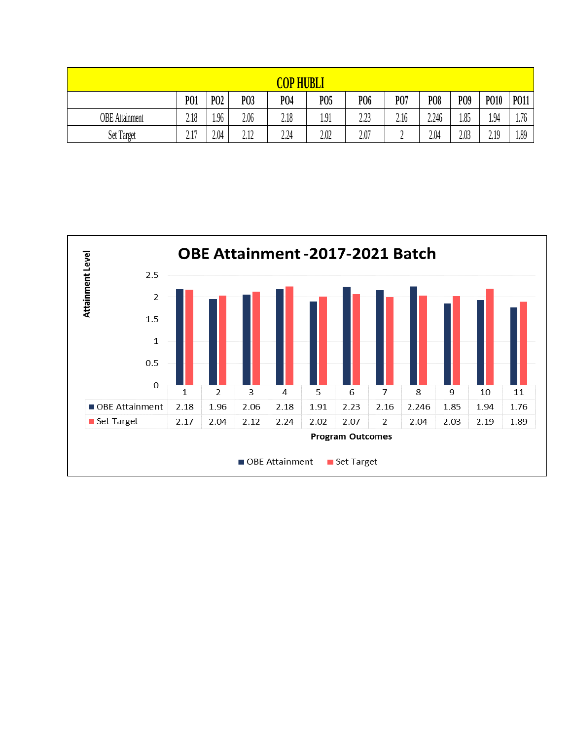|                       |                       |                  |             | $\overline{COP}$ | <b>HUBLI</b>    |                  |      |            |      |             |             |
|-----------------------|-----------------------|------------------|-------------|------------------|-----------------|------------------|------|------------|------|-------------|-------------|
|                       | <b>PO1</b>            | P <sub>0</sub> 2 | P03         | P <sub>04</sub>  | P <sub>05</sub> | P <sub>06</sub>  | P07  | <b>PO8</b> | PO9  | <b>PO10</b> | <b>PO11</b> |
| <b>OBE</b> Attainment | 2.18                  | 1.96             | 2.06        | 2.18             | 1.91            | າ າາ<br>ل کے ویک | 2.16 | 2.246      | 1.85 | 1.94        | 1.76        |
| Set Target            | 1 <sub>7</sub><br>4.1 | 2.04             | 212<br>4.14 | 2.24             | 2.02            | 2.07             | ⊷    | 2.04       | 2.03 | 2.19        | 1.89        |

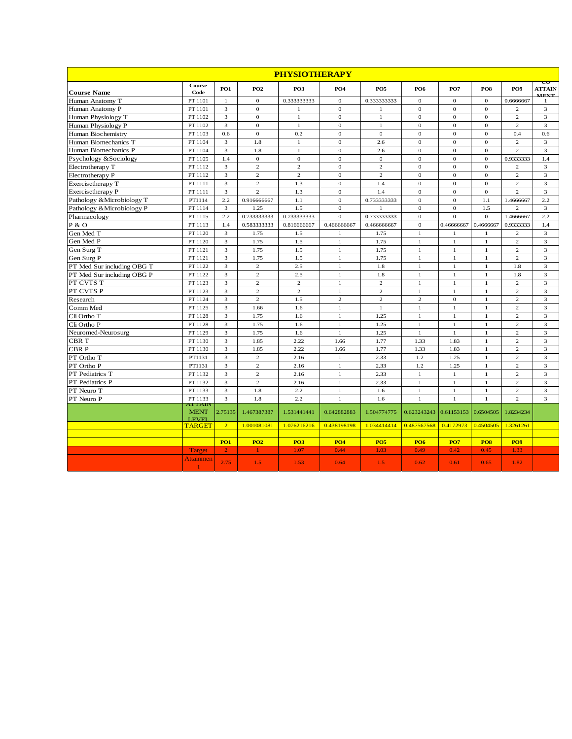|                            |                                         |                |                  | <b>PHYSIOTHERAPY</b> |                  |                  |                                  |                |                 |                 |                                                                                      |
|----------------------------|-----------------------------------------|----------------|------------------|----------------------|------------------|------------------|----------------------------------|----------------|-----------------|-----------------|--------------------------------------------------------------------------------------|
| <b>Course Name</b>         | Course<br>Code                          | <b>PO1</b>     | <b>PO2</b>       | PO <sub>3</sub>      | PO <sub>4</sub>  | PO <sub>5</sub>  | <b>PO6</b>                       | <b>PO7</b>     | PO <sub>8</sub> | PO <sub>9</sub> | $\overline{\mathtt{\textbf{c}}\mathtt{\textbf{v}}}$<br><b>ATTAIN</b><br><b>MENT.</b> |
| Human Anatomy T            | PT 1101                                 | $\mathbf{1}$   | $\mathbf{0}$     | 0.333333333          | $\mathbf{O}$     | 0.333333333      | $\mathbf{0}$                     | $\theta$       | $\overline{0}$  | 0.6666667       | 1                                                                                    |
| Human Anatomy P            | PT 1101                                 | 3              | $\mathbf{0}$     | $\mathbf{1}$         | $\mathbf{O}$     | $\mathbf{1}$     | $\theta$                         | $\theta$       | $\overline{0}$  | $\overline{2}$  | $\ensuremath{\mathfrak{Z}}$                                                          |
| Human Physiology T         | PT 1102                                 | 3              | $\mathbf{0}$     | $\mathbf{1}$         | $\mathbf{O}$     | $\mathbf{1}$     | $\mathbf{0}$                     | $\theta$       | $\overline{0}$  | $\overline{c}$  | 3                                                                                    |
| Human Physiology P         | PT 1102                                 | 3              | $\Omega$         | $\mathbf{1}$         | $\mathbf{O}$     | $\mathbf{1}$     | $\theta$                         | $\theta$       | $\overline{0}$  | $\overline{2}$  | 3                                                                                    |
| Human Biochemistry         | PT 1103                                 | $0.6\,$        | $\boldsymbol{0}$ | 0.2                  | $\sigma$         | $\mathbf{0}$     | $\mathbf{0}$                     | $\mathbf{0}$   | $\mathbf 0$     | 0.4             | $0.6\,$                                                                              |
| Human Biomechanics T       | PT 1104                                 | 3              | 1.8              | 1                    | $\mathbf{0}$     | 2.6              | $\mathbf{0}$                     | $\theta$       | $\theta$        | $\overline{2}$  | 3                                                                                    |
| Human Biomechanics P       | PT 1104                                 | 3              | 1.8              | $\mathbf{1}$         | $\overline{0}$   | 2.6              | $\theta$                         | $\mathbf{0}$   | $\overline{0}$  | $\overline{c}$  | $\overline{3}$                                                                       |
| Psychology &Sociology      | PT 1105                                 | 1.4            | $\overline{0}$   | $\overline{0}$       | $\overline{0}$   | $\boldsymbol{0}$ | $\theta$                         | $\theta$       | $\overline{0}$  | 0.9333333       | 1.4                                                                                  |
| Electrotherapy T           | PT 1112                                 | 3              | $\overline{2}$   | $\overline{c}$       | $\mathbf{O}$     | $\overline{c}$   | $\theta$                         | $\Omega$       | $\overline{0}$  | $\overline{2}$  | 3                                                                                    |
| Electrotherapy P           | PT 1112                                 | 3              | 2                | $\overline{2}$       | $\mathbf{0}$     | $\overline{c}$   | $\theta$                         | $\overline{0}$ | $\overline{0}$  | 2               | 3                                                                                    |
| Exercisetherapy T          | PT 1111                                 | 3              | $\overline{2}$   | 1.3                  | $\boldsymbol{0}$ | 1.4              | $\mathbf 0$                      | $\mathbf{0}$   | $\overline{0}$  | $\sqrt{2}$      | $\ensuremath{\mathfrak{Z}}$                                                          |
| Exercisetherapy P          | PT 1111                                 | 3              | $\overline{c}$   | 1.3                  | $\boldsymbol{0}$ | 1.4              | $\mathbf{0}$                     | $\mathbf{0}$   | $\overline{0}$  | $\overline{c}$  | 3                                                                                    |
| Pathology & Microbiology T | PT1114                                  | 2.2            | 0.916666667      | 1.1                  | $\mathbf{0}$     | 0.733333333      | $\mathbf{0}$                     | $\theta$       | 1.1             | 1.4666667       | 2.2                                                                                  |
| Pathology & Microbiology P | PT 1114                                 | 3              | 1.25             | 1.5                  | $\mathbf{O}$     |                  | $\mathbf{0}$                     | $\theta$       | 1.5             | $\overline{c}$  | 3                                                                                    |
| Pharmacology               | PT 1115                                 | 2.2            | 0.733333333      | 0.733333333          | $\mathbf{O}$     | 0.733333333      | $\mathbf{0}$                     | $\Omega$       | $\Omega$        | 1.4666667       | 2.2                                                                                  |
| P & O                      | PT 1113                                 | 1.4            | 0.583333333      | 0.816666667          | 0.466666667      | 0.466666667      | $\mathbf{0}$                     | 0.46666667     | 0.4666667       | 0.9333333       | 1.4                                                                                  |
| Gen Med T                  | PT 1120                                 | 3              | 1.75             | 1.5                  | $\mathbf{1}$     | 1.75             | $\mathbf{1}$                     | $\mathbf{1}$   | $\mathbf{1}$    | $\overline{c}$  | 3                                                                                    |
| Gen Med P                  | PT 1120                                 | 3              | 1.75             | 1.5                  | $\,1\,$          | 1.75             | 1                                | $\mathbf{1}$   | $\,1\,$         | $\overline{c}$  | $\ensuremath{\mathfrak{Z}}$                                                          |
| Gen Surg T                 | PT 1121                                 | 3              | 1.75             | 1.5                  | $\mathbf{1}$     | 1.75             | 1                                | $\mathbf{1}$   | $\mathbf{1}$    | $\overline{c}$  | 3                                                                                    |
| Gen Surg P                 | PT 1121                                 | 3              | 1.75             | 1.5                  | $\,1\,$          | 1.75             | $\mathbf{1}$                     | $\mathbf{1}$   | $\,1\,$         | $\overline{c}$  | 3                                                                                    |
| PT Med Sur including OBG T | PT 1122                                 | 3              | $\overline{2}$   | 2.5                  | $\mathbf{1}$     | 1.8              | 1                                | $\mathbf{1}$   | $\mathbf{1}$    | 1.8             | 3                                                                                    |
| PT Med Sur including OBG P | PT 1122                                 | 3              | $\overline{c}$   | 2.5                  | $\,1\,$          | 1.8              | $\mathbf{1}$                     | $\mathbf{1}$   | $\,1\,$         | 1.8             | $\mathfrak{Z}$                                                                       |
| PT CVTS T                  | PT 1123                                 | 3              | $\overline{c}$   | $\overline{c}$       | $\,1\,$          | $\overline{2}$   | $\mathbf{1}$                     | $\mathbf{1}$   | $\mathbf{1}$    | $\overline{2}$  | 3                                                                                    |
| PT CVTS P                  | PT 1123                                 | 3              | $\overline{2}$   | $\overline{c}$       | $\mathbf{1}$     | $\overline{c}$   | $\mathbf{1}$                     | $\mathbf{1}$   | $\mathbf{1}$    | $\overline{2}$  | 3                                                                                    |
| Research                   | PT 1124                                 | 3              | 2                | 1.5                  | $\overline{c}$   | $\overline{c}$   | $\overline{c}$                   | $\mathbf{0}$   | $\mathbf{1}$    | 2               | 3                                                                                    |
| Comm Med                   | PT 1125                                 | 3              | 1.66             | 1.6                  | $\mathbf{1}$     | $\mathbf{1}$     | $\mathbf{1}$                     | $\mathbf{1}$   | $\mathbf{1}$    | $\overline{2}$  | 3                                                                                    |
| Cli Ortho T                | PT 1128                                 | 3              | 1.75             | 1.6                  | $\mathbf{1}$     | 1.25             | $\mathbf{1}$                     | $\mathbf{1}$   | $\mathbf{1}$    | $\overline{2}$  | 3                                                                                    |
| Cli Ortho P                | PT 1128                                 | 3              | 1.75             | 1.6                  | $\mathbf{1}$     | 1.25             | $\mathbf{1}$                     | $\mathbf{1}$   | $\mathbf{1}$    | $\overline{c}$  | $\ensuremath{\mathfrak{Z}}$                                                          |
| Neuromed-Neurosurg         | PT 1129                                 | 3              | 1.75             | 1.6                  | $\mathbf{1}$     | 1.25             | $\mathbf{1}$                     | $\mathbf{1}$   | $\mathbf{1}$    | $\mathfrak 2$   | 3                                                                                    |
| CBR T                      | PT 1130                                 | 3              | 1.85             | 2.22                 | 1.66             | 1.77             | 1.33                             | 1.83           | $\mathbf{1}$    | $\overline{c}$  | 3                                                                                    |
| <b>CBRP</b>                | PT 1130                                 | 3              | 1.85             | 2.22                 | 1.66             | 1.77             | 1.33                             | 1.83           | $\mathbf{1}$    | $\overline{c}$  | $\overline{\mathbf{3}}$                                                              |
| PT Ortho T                 | PT1131                                  | 3              | $\overline{c}$   | 2.16                 | $\mathbf{1}$     | 2.33             | 1.2                              | 1.25           | $\mathbf{1}$    | $\mathfrak 2$   | 3                                                                                    |
| PT Ortho P                 | PT1131                                  | 3              | $\overline{c}$   | 2.16                 | $\mathbf{1}$     | 2.33             | 1.2                              | 1.25           | $\mathbf{1}$    | $\overline{c}$  | 3                                                                                    |
| PT Pediatrics T            | PT 1132                                 | 3              | $\overline{c}$   | 2.16                 | $\mathbf{1}$     | 2.33             | $\mathbf{1}$                     | $\mathbf{1}$   | $\mathbf{1}$    | $\overline{c}$  | $\ensuremath{\mathfrak{Z}}$                                                          |
| PT Pediatrics P            | PT 1132                                 | 3              | $\overline{c}$   | 2.16                 | $\mathbf{1}$     | 2.33             | 1                                | $\mathbf{1}$   | $\mathbf{1}$    | $\overline{c}$  | 3                                                                                    |
| PT Neuro T                 | PT 1133                                 | 3              | 1.8              | 2.2                  | $\mathbf{1}$     | 1.6              | 1                                | $\mathbf{1}$   | $\mathbf{1}$    | $\overline{2}$  | 3                                                                                    |
| PT Neuro P                 | PT 1133                                 | 3              | 1.8              | 2.2                  | $\mathbf{1}$     | 1.6              | $\mathbf{1}$                     | $\mathbf{1}$   | $\mathbf{1}$    | $\overline{c}$  | 3                                                                                    |
|                            | AI TAIN<br><b>MENT</b><br><b>I EVEI</b> | 2.75135        | 1.467387387      | 1.531441441          | 0.642882883      | 1.504774775      | 0.623243243 0.61153153 0.6504505 |                |                 | 1.8234234       |                                                                                      |
|                            | TARGET                                  | $\overline{2}$ | 1.001081081      | 1.076216216          | 0.438198198      | 1.034414414      | 0.487567568                      | 0.4172973      | 0.4504505       | 1.3261261       |                                                                                      |
|                            |                                         | <b>PO1</b>     | <b>PO2</b>       | PO <sub>3</sub>      | <b>PO4</b>       | <b>PO5</b>       | <b>PO6</b>                       | <b>PO7</b>     | <b>PO8</b>      | PO <sub>9</sub> |                                                                                      |
|                            | <b>Target</b>                           | $\mathcal{D}$  | $\mathbf{1}$     | 1.07                 | 0.44             | 1.03             | 0.49                             | 0.42           | 0.45            | 1.33            |                                                                                      |
|                            | Attainmen<br>t                          | 2.75           | 1.5              | 1.53                 | 0.64             | 1.5              | 0.62                             | 0.61           | 0.65            | 1.82            |                                                                                      |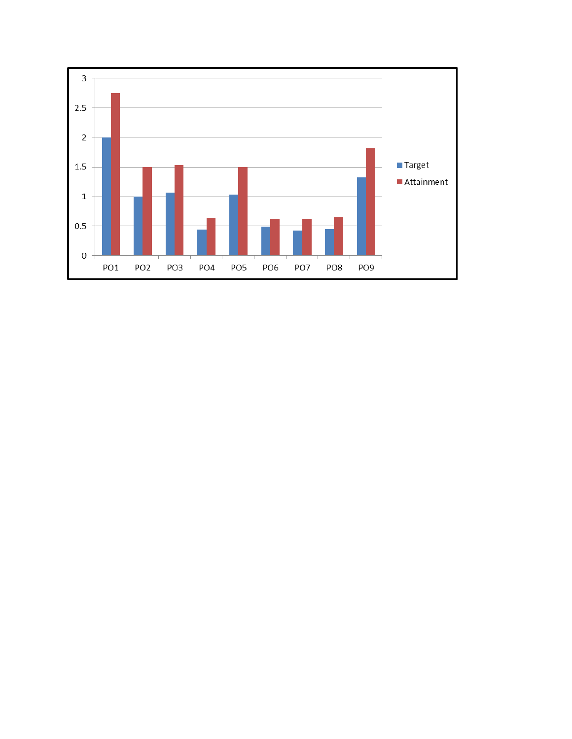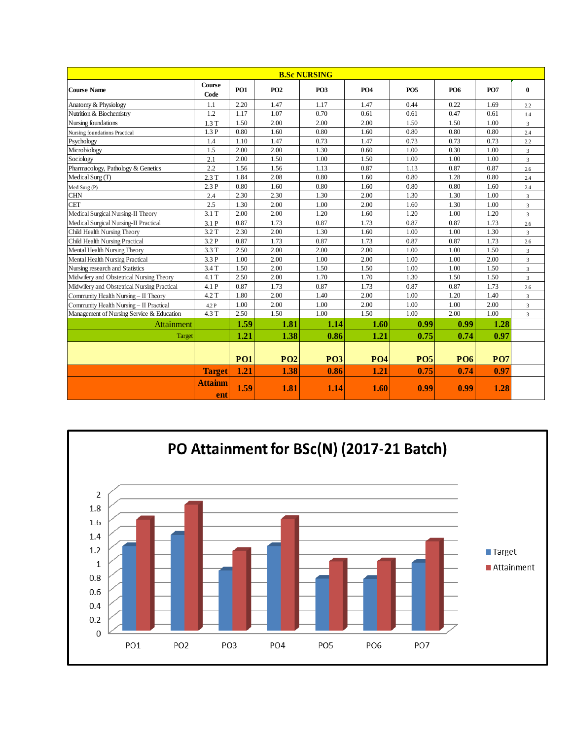| <b>B.Sc NURSING</b>                         |                       |            |            |            |            |            |            |            |                  |  |  |
|---------------------------------------------|-----------------------|------------|------------|------------|------------|------------|------------|------------|------------------|--|--|
| <b>Course Name</b>                          | <b>Course</b><br>Code | <b>PO1</b> | <b>PO2</b> | <b>PO3</b> | <b>PO4</b> | <b>PO5</b> | <b>PO6</b> | <b>PO7</b> | $\bf{0}$         |  |  |
| Anatomy & Physiology                        | 1.1                   | 2.20       | 1.47       | 1.17       | 1.47       | 0.44       | 0.22       | 1.69       | 2.2              |  |  |
| Nutrition & Biochemistry                    | 1.2                   | 1.17       | 1.07       | 0.70       | 0.61       | 0.61       | 0.47       | 0.61       | 1.4              |  |  |
| Nursing foundations                         | 1.3T                  | 1.50       | 2.00       | 2.00       | 2.00       | 1.50       | 1.50       | 1.00       | $\overline{3}$   |  |  |
| Nursing foundations Practical               | 1.3P                  | 0.80       | 1.60       | 0.80       | 1.60       | 0.80       | 0.80       | 0.80       | 2.4              |  |  |
| Psychology                                  | 1.4                   | 1.10       | 1.47       | 0.73       | 1.47       | 0.73       | 0.73       | 0.73       | 2.2              |  |  |
| Microbiology                                | 1.5                   | 2.00       | 2.00       | 1.30       | 0.60       | 1.00       | 0.30       | 1.00       | $\overline{3}$   |  |  |
| Sociology                                   | 2.1                   | 2.00       | 1.50       | 1.00       | 1.50       | 1.00       | 1.00       | 1.00       | $\overline{3}$   |  |  |
| Pharmacology, Pathology & Genetics          | 2.2                   | 1.56       | 1.56       | 1.13       | 0.87       | 1.13       | 0.87       | 0.87       | $2.6\phantom{0}$ |  |  |
| Medical Surg (T)                            | 2.3T                  | 1.84       | 2.08       | 0.80       | 1.60       | 0.80       | 1.28       | 0.80       | 2.4              |  |  |
| Med Surg (P)                                | 2.3P                  | 0.80       | 1.60       | 0.80       | 1.60       | 0.80       | 0.80       | 1.60       | $2.4\,$          |  |  |
| <b>CHN</b>                                  | 2.4                   | 2.30       | 2.30       | 1.30       | 2.00       | 1.30       | 1.30       | 1.00       | $\overline{3}$   |  |  |
| <b>CET</b>                                  | 2.5                   | 1.30       | 2.00       | 1.00       | 2.00       | 1.60       | 1.30       | 1.00       | $\overline{3}$   |  |  |
| Medical Surgical Nursing-II Theory          | 3.1T                  | 2.00       | 2.00       | 1.20       | 1.60       | 1.20       | 1.00       | 1.20       | $\overline{3}$   |  |  |
| Medical Surgical Nursing-II Practical       | 3.1 P                 | 0.87       | 1.73       | 0.87       | 1.73       | 0.87       | 0.87       | 1.73       | 2.6              |  |  |
| Child Health Nursing Theory                 | 3.2 T                 | 2.30       | 2.00       | 1.30       | 1.60       | 1.00       | 1.00       | 1.30       | $\overline{3}$   |  |  |
| Child Health Nursing Practical              | 3.2 P                 | 0.87       | 1.73       | 0.87       | 1.73       | 0.87       | 0.87       | 1.73       | 2.6              |  |  |
| Mental Health Nursing Theory                | 3.3 T                 | 2.50       | 2.00       | 2.00       | 2.00       | 1.00       | 1.00       | 1.50       | $\overline{3}$   |  |  |
| Mental Health Nursing Practical             | 3.3 P                 | 1.00       | 2.00       | 1.00       | 2.00       | 1.00       | 1.00       | 2.00       | $\overline{3}$   |  |  |
| Nursing research and Statistics             | 3.4 T                 | 1.50       | 2.00       | 1.50       | 1.50       | 1.00       | 1.00       | 1.50       | $\overline{3}$   |  |  |
| Midwifery and Obstetrical Nursing Theory    | 4.1 T                 | 2.50       | 2.00       | 1.70       | 1.70       | 1.30       | 1.50       | 1.50       | $\overline{3}$   |  |  |
| Midwifery and Obstetrical Nursing Practical | 4.1 P                 | 0.87       | 1.73       | 0.87       | 1.73       | 0.87       | 0.87       | 1.73       | 2.6              |  |  |
| Community Health Nursing - II Theory        | 4.2 T                 | 1.80       | 2.00       | 1.40       | 2.00       | 1.00       | 1.20       | 1.40       | $\mathfrak{Z}$   |  |  |
| Community Health Nursing - II Practical     | 4.2 P                 | 1.00       | 2.00       | 1.00       | 2.00       | 1.00       | 1.00       | 2.00       | $\overline{3}$   |  |  |
| Management of Nursing Service & Education   | 4.3 T                 | 2.50       | 1.50       | 1.00       | 1.50       | 1.00       | 2.00       | 1.00       | $\overline{3}$   |  |  |
| Attainment                                  |                       | 1.59       | 1.81       | 1.14       | 1.60       | 0.99       | 0.99       | 1.28       |                  |  |  |
| Target                                      |                       | 1.21       | 1.38       | 0.86       | 1.21       | 0.75       | 0.74       | 0.97       |                  |  |  |
|                                             |                       |            |            |            |            |            |            |            |                  |  |  |
|                                             |                       | <b>PO1</b> | <b>PO2</b> | <b>PO3</b> | <b>PO4</b> | <b>PO5</b> | <b>PO6</b> | <b>PO7</b> |                  |  |  |
|                                             | <b>Target</b>         | 1.21       | 1.38       | 0.86       | 1.21       | 0.75       | 0.74       | 0.97       |                  |  |  |
|                                             | <b>Attainm</b><br>ent | 1.59       | 1.81       | 1.14       | 1.60       | 0.99       | 0.99       | 1.28       |                  |  |  |

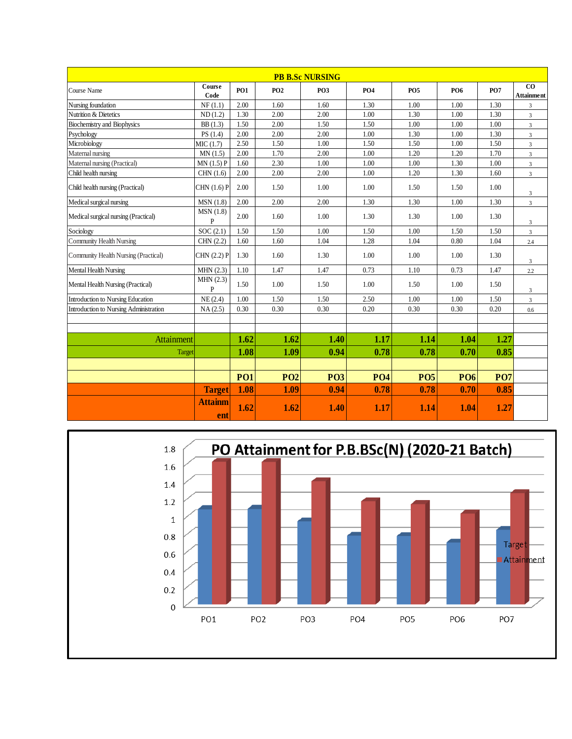| <b>PB B.Sc NURSING</b>                 |                          |            |            |             |            |             |                 |            |                         |  |  |
|----------------------------------------|--------------------------|------------|------------|-------------|------------|-------------|-----------------|------------|-------------------------|--|--|
| Course Name                            | Course<br>Code           | <b>PO1</b> | <b>PO2</b> | <b>PO3</b>  | <b>PO4</b> | <b>PO5</b>  | PO <sub>6</sub> | <b>PO7</b> | CO<br><b>Attainment</b> |  |  |
| Nursing foundation                     | NF(1.1)                  | 2.00       | 1.60       | 1.60        | 1.30       | 1.00        | 1.00            | 1.30       | 3                       |  |  |
| Nutrition & Dietetics                  | ND(1.2)                  | 1.30       | 2.00       | 2.00        | 1.00       | 1.30        | 1.00            | 1.30       | 3                       |  |  |
| <b>Biochemistry and Biophysics</b>     | BB(1.3)                  | 1.50       | 2.00       | 1.50        | 1.50       | 1.00        | 1.00            | 1.00       | $\mathfrak{Z}$          |  |  |
| Psychology                             | PS(1.4)                  | 2.00       | 2.00       | 2.00        | 1.00       | 1.30        | 1.00            | 1.30       | 3                       |  |  |
| Microbiology                           | MIC(1.7)                 | 2.50       | 1.50       | 1.00        | 1.50       | 1.50        | 1.00            | 1.50       | $\overline{3}$          |  |  |
| Maternal nursing                       | MN(1.5)                  | 2.00       | 1.70       | 2.00        | 1.00       | 1.20        | 1.20            | 1.70       | $\overline{3}$          |  |  |
| Maternal nursing (Practical)           | MN(1.5)P                 | 1.60       | 2.30       | 1.00        | 1.00       | 1.00        | 1.30            | 1.00       | 3                       |  |  |
| Child health nursing                   | CHN(1.6)                 | 2.00       | 2.00       | 2.00        | 1.00       | 1.20        | 1.30            | 1.60       | $\overline{3}$          |  |  |
| Child health nursing (Practical)       | CHN (1.6) P              | 2.00       | 1.50       | 1.00        | 1.00       | 1.50        | 1.50            | 1.00       | 3                       |  |  |
| Medical surgical nursing               | MSN(1.8)                 | 2.00       | 2.00       | 2.00        | 1.30       | 1.30        | 1.00            | 1.30       | 3                       |  |  |
| Medical surgical nursing (Practical)   | MSN(1.8)<br>$\mathbf{P}$ | 2.00       | 1.60       | 1.00        | 1.30       | 1.30        | 1.00            | 1.30       | 3                       |  |  |
| Sociology                              | SOC(2.1)                 | 1.50       | 1.50       | 1.00        | 1.50       | 1.00        | 1.50            | 1.50       | $\overline{3}$          |  |  |
| <b>Community Health Nursing</b>        | CHN (2.2)                | 1.60       | 1.60       | 1.04        | 1.28       | 1.04        | 0.80            | 1.04       | 2.4                     |  |  |
| Community Health Nursing (Practical)   | CHN (2.2) P              | 1.30       | 1.60       | 1.30        | 1.00       | 1.00        | 1.00            | 1.30       | 3                       |  |  |
| Mental Health Nursing                  | MHN(2.3)                 | 1.10       | 1.47       | 1.47        | 0.73       | 1.10        | 0.73            | 1.47       | $2.2\,$                 |  |  |
| Mental Health Nursing (Practical)      | MHN(2.3)<br>$\mathbf{P}$ | 1.50       | 1.00       | 1.50        | 1.00       | 1.50        | 1.00            | 1.50       | 3                       |  |  |
| Introduction to Nursing Education      | NE(2.4)                  | 1.00       | 1.50       | 1.50        | 2.50       | 1.00        | 1.00            | 1.50       | $\mathfrak{Z}$          |  |  |
| Introduction to Nursing Administration | NA(2.5)                  | 0.30       | 0.30       | 0.30        | 0.20       | 0.30        | 0.30            | 0.20       | $0.6\,$                 |  |  |
|                                        |                          |            |            |             |            |             |                 |            |                         |  |  |
| <b>Attainment</b>                      |                          | 1.62       | 1.62       | 1.40        | 1.17       | 1.14        | 1.04            | 1.27       |                         |  |  |
| Target                                 |                          | 1.08       | 1.09       | 0.94        | 0.78       | 0.78        | 0.70            | 0.85       |                         |  |  |
|                                        |                          |            |            |             |            |             |                 |            |                         |  |  |
|                                        |                          | <b>PO1</b> | <b>PO2</b> | <b>PO3</b>  | <b>PO4</b> | <b>PO5</b>  | <b>PO6</b>      | <b>PO7</b> |                         |  |  |
|                                        | <b>Target</b>            | 1.08       | 1.09       | 0.94        | 0.78       | 0.78        | 0.70            | 0.85       |                         |  |  |
|                                        | <b>Attainm</b><br>ent    | 1.62       | 1.62       | <b>1.40</b> | 1.17       | <b>1.14</b> | 1.04            | 1.27       |                         |  |  |